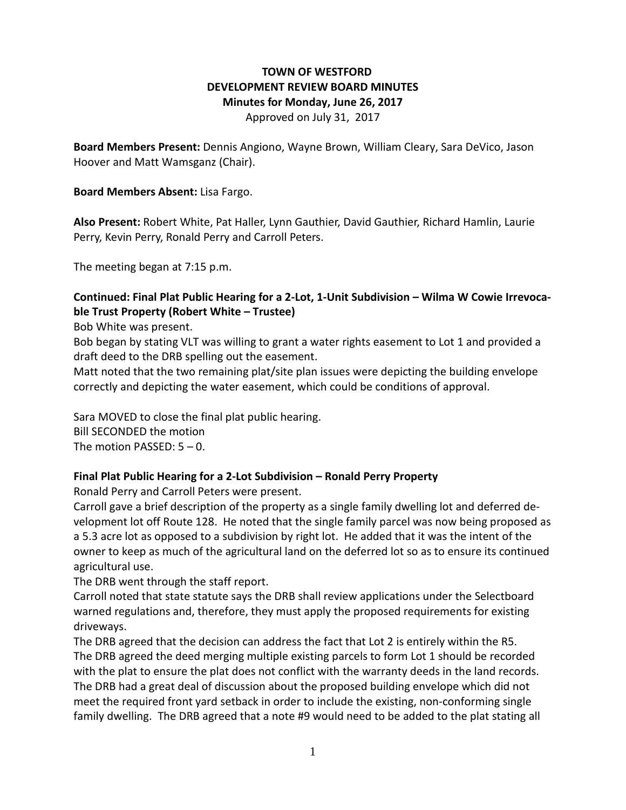# **TOWN OF WESTFORD DEVELOPMENT REVIEW BOARD MINUTES Minutes for Monday, June 26, 2017**

Approved on July 31, 2017

**Board Members Present:** Dennis Angiono, Wayne Brown, William Cleary, Sara DeVico, Jason Hoover and Matt Wamsganz (Chair).

#### **Board Members Absent:** Lisa Fargo.

**Also Present:** Robert White, Pat Haller, Lynn Gauthier, David Gauthier, Richard Hamlin, Laurie Perry, Kevin Perry, Ronald Perry and Carroll Peters.

The meeting began at 7:15 p.m.

#### **Continued: Final Plat Public Hearing for a 2-Lot, 1-Unit Subdivision – Wilma W Cowie Irrevocable Trust Property (Robert White – Trustee)**

Bob White was present.

Bob began by stating VLT was willing to grant a water rights easement to Lot 1 and provided a draft deed to the DRB spelling out the easement.

Matt noted that the two remaining plat/site plan issues were depicting the building envelope correctly and depicting the water easement, which could be conditions of approval.

Sara MOVED to close the final plat public hearing.

Bill SECONDED the motion

The motion PASSED: 5 – 0.

### **Final Plat Public Hearing for a 2-Lot Subdivision – Ronald Perry Property**

Ronald Perry and Carroll Peters were present.

Carroll gave a brief description of the property as a single family dwelling lot and deferred development lot off Route 128. He noted that the single family parcel was now being proposed as a 5.3 acre lot as opposed to a subdivision by right lot. He added that it was the intent of the owner to keep as much of the agricultural land on the deferred lot so as to ensure its continued agricultural use.

The DRB went through the staff report.

Carroll noted that state statute says the DRB shall review applications under the Selectboard warned regulations and, therefore, they must apply the proposed requirements for existing driveways.

The DRB agreed that the decision can address the fact that Lot 2 is entirely within the R5. The DRB agreed the deed merging multiple existing parcels to form Lot 1 should be recorded with the plat to ensure the plat does not conflict with the warranty deeds in the land records. The DRB had a great deal of discussion about the proposed building envelope which did not meet the required front yard setback in order to include the existing, non-conforming single family dwelling. The DRB agreed that a note #9 would need to be added to the plat stating all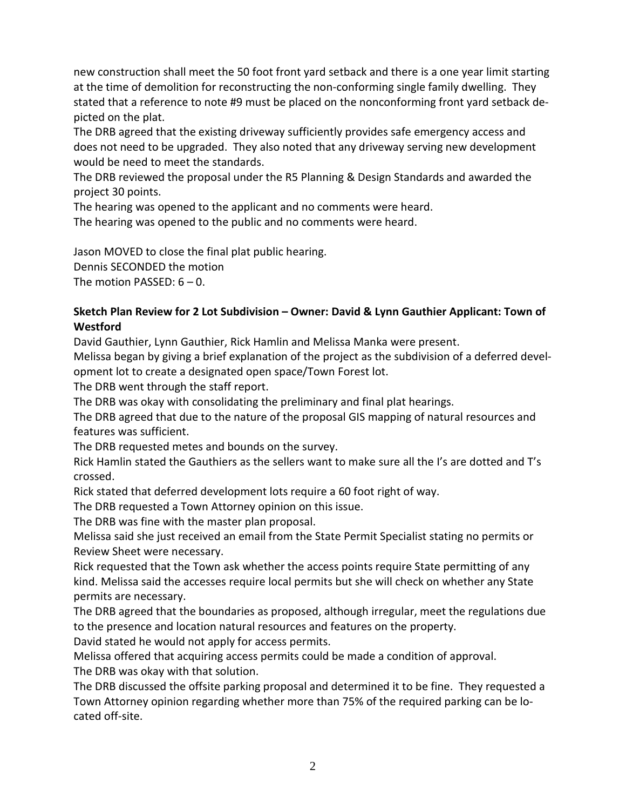new construction shall meet the 50 foot front yard setback and there is a one year limit starting at the time of demolition for reconstructing the non-conforming single family dwelling. They stated that a reference to note #9 must be placed on the nonconforming front yard setback depicted on the plat.

The DRB agreed that the existing driveway sufficiently provides safe emergency access and does not need to be upgraded. They also noted that any driveway serving new development would be need to meet the standards.

The DRB reviewed the proposal under the R5 Planning & Design Standards and awarded the project 30 points.

The hearing was opened to the applicant and no comments were heard.

The hearing was opened to the public and no comments were heard.

Jason MOVED to close the final plat public hearing. Dennis SECONDED the motion The motion PASSED: 6 – 0.

## **Sketch Plan Review for 2 Lot Subdivision – Owner: David & Lynn Gauthier Applicant: Town of Westford**

David Gauthier, Lynn Gauthier, Rick Hamlin and Melissa Manka were present.

Melissa began by giving a brief explanation of the project as the subdivision of a deferred development lot to create a designated open space/Town Forest lot.

The DRB went through the staff report.

The DRB was okay with consolidating the preliminary and final plat hearings.

The DRB agreed that due to the nature of the proposal GIS mapping of natural resources and features was sufficient.

The DRB requested metes and bounds on the survey.

Rick Hamlin stated the Gauthiers as the sellers want to make sure all the I's are dotted and T's crossed.

Rick stated that deferred development lots require a 60 foot right of way.

The DRB requested a Town Attorney opinion on this issue.

The DRB was fine with the master plan proposal.

Melissa said she just received an email from the State Permit Specialist stating no permits or Review Sheet were necessary.

Rick requested that the Town ask whether the access points require State permitting of any kind. Melissa said the accesses require local permits but she will check on whether any State permits are necessary.

The DRB agreed that the boundaries as proposed, although irregular, meet the regulations due to the presence and location natural resources and features on the property.

David stated he would not apply for access permits.

Melissa offered that acquiring access permits could be made a condition of approval. The DRB was okay with that solution.

The DRB discussed the offsite parking proposal and determined it to be fine. They requested a Town Attorney opinion regarding whether more than 75% of the required parking can be located off-site.